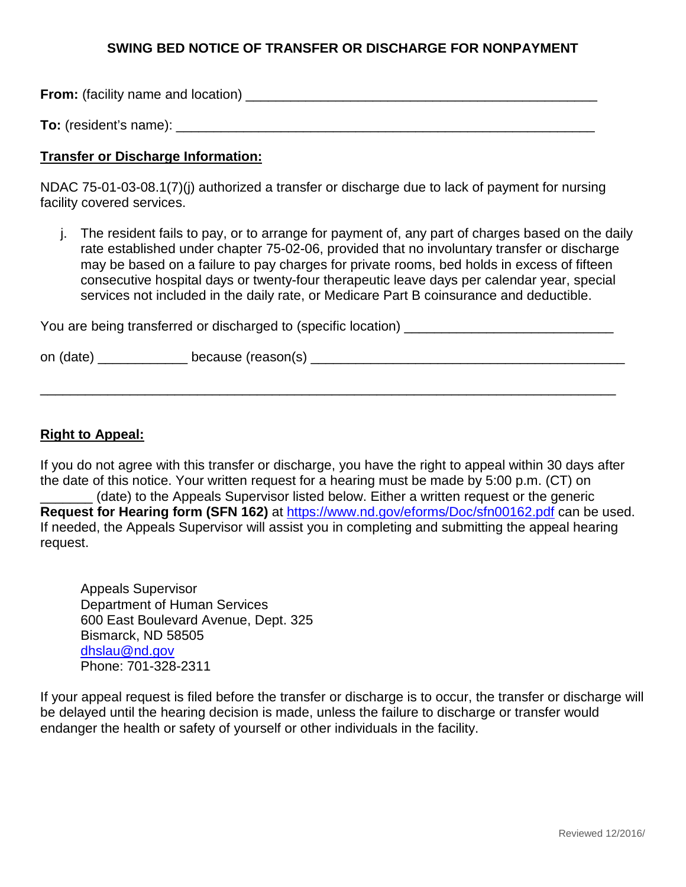# **SWING BED NOTICE OF TRANSFER OR DISCHARGE FOR NONPAYMENT**

**From:** (facility name and location) **Example 2018** 

**To:** (resident's name): \_\_\_\_\_\_\_\_\_\_\_\_\_\_\_\_\_\_\_\_\_\_\_\_\_\_\_\_\_\_\_\_\_\_\_\_\_\_\_\_\_\_\_\_\_\_\_\_\_\_\_\_\_\_\_\_

# **Transfer or Discharge Information:**

NDAC 75-01-03-08.1(7)(j) authorized a transfer or discharge due to lack of payment for nursing facility covered services.

j. The resident fails to pay, or to arrange for payment of, any part of charges based on the daily rate established under chapter 75-02-06, provided that no involuntary transfer or discharge may be based on a failure to pay charges for private rooms, bed holds in excess of fifteen consecutive hospital days or twenty-four therapeutic leave days per calendar year, special services not included in the daily rate, or Medicare Part B coinsurance and deductible.

You are being transferred or discharged to (specific location) \_\_\_\_\_\_\_\_\_\_\_\_\_\_\_\_\_\_\_\_\_\_\_\_

\_\_\_\_\_\_\_\_\_\_\_\_\_\_\_\_\_\_\_\_\_\_\_\_\_\_\_\_\_\_\_\_\_\_\_\_\_\_\_\_\_\_\_\_\_\_\_\_\_\_\_\_\_\_\_\_\_\_\_\_\_\_\_\_\_\_\_\_\_\_\_\_\_\_\_\_\_

on (date) \_\_\_\_\_\_\_\_\_\_\_\_\_\_\_ because (reason(s) \_\_\_\_\_\_\_\_\_\_\_\_\_\_\_\_\_\_\_\_\_\_\_\_\_\_\_\_\_\_\_\_\_\_\_

### **Right to Appeal:**

If you do not agree with this transfer or discharge, you have the right to appeal within 30 days after the date of this notice. Your written request for a hearing must be made by 5:00 p.m. (CT) on

\_\_\_\_\_\_\_ (date) to the Appeals Supervisor listed below. Either a written request or the generic **Request for Hearing form (SFN 162)** at <https://www.nd.gov/eforms/Doc/sfn00162.pdf> can be used. If needed, the Appeals Supervisor will assist you in completing and submitting the appeal hearing request.

 Appeals Supervisor Department of Human Services 600 East Boulevard Avenue, Dept. 325 Bismarck, ND 58505 [dhslau@nd.gov](mailto:dhslau@nd.gov)  Phone: 701-328-2311

If your appeal request is filed before the transfer or discharge is to occur, the transfer or discharge will be delayed until the hearing decision is made, unless the failure to discharge or transfer would endanger the health or safety of yourself or other individuals in the facility.